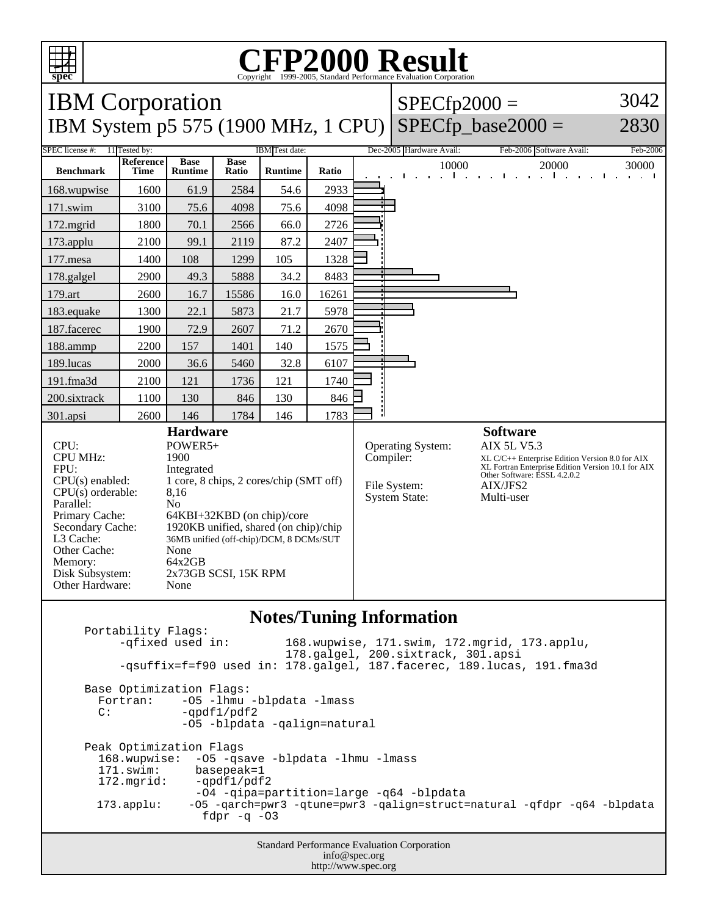

## C<sub>opyright</sub> ©1999-2005, Standard Performance Evaluation Corporation

| <b>IBM</b> Corporation                                                                                                                                                                                                                                                                                                                                                                                                                                                                                    |                          |                               |                      |                |                                                                  | $SPECfp2000 =$                                                                                                                                                                                           | 3042                     |                                                                                       |                      |
|-----------------------------------------------------------------------------------------------------------------------------------------------------------------------------------------------------------------------------------------------------------------------------------------------------------------------------------------------------------------------------------------------------------------------------------------------------------------------------------------------------------|--------------------------|-------------------------------|----------------------|----------------|------------------------------------------------------------------|----------------------------------------------------------------------------------------------------------------------------------------------------------------------------------------------------------|--------------------------|---------------------------------------------------------------------------------------|----------------------|
| IBM System p5 575 (1900 MHz, 1 CPU)                                                                                                                                                                                                                                                                                                                                                                                                                                                                       |                          |                               |                      |                |                                                                  |                                                                                                                                                                                                          |                          | $SPECfp\_base2000 =$                                                                  | 2830                 |
| SPEC license #:<br>11 Tested by:<br>IBM Test date:                                                                                                                                                                                                                                                                                                                                                                                                                                                        |                          |                               |                      |                |                                                                  | Dec-2005 Hardware Avail:                                                                                                                                                                                 | Feb-2006 Software Avail: | Feb-2006                                                                              |                      |
| <b>Benchmark</b>                                                                                                                                                                                                                                                                                                                                                                                                                                                                                          | <b>Reference</b><br>Time | <b>Base</b><br><b>Runtime</b> | <b>Base</b><br>Ratio | <b>Runtime</b> | Ratio                                                            |                                                                                                                                                                                                          | 10000                    | 20000<br><b><i>Committee</i></b><br><b>Contract</b><br>$\blacksquare$<br>$\mathbf{r}$ | 30000<br>and a state |
| 168.wupwise                                                                                                                                                                                                                                                                                                                                                                                                                                                                                               | 1600                     | 61.9                          | 2584                 | 54.6           | 2933                                                             |                                                                                                                                                                                                          |                          |                                                                                       |                      |
| 171.swim                                                                                                                                                                                                                                                                                                                                                                                                                                                                                                  | 3100                     | 75.6                          | 4098                 | 75.6           | 4098                                                             |                                                                                                                                                                                                          |                          |                                                                                       |                      |
| 172.mgrid                                                                                                                                                                                                                                                                                                                                                                                                                                                                                                 | 1800                     | 70.1                          | 2566                 | 66.0           | 2726                                                             |                                                                                                                                                                                                          |                          |                                                                                       |                      |
| 173.applu                                                                                                                                                                                                                                                                                                                                                                                                                                                                                                 | 2100                     | 99.1                          | 2119                 | 87.2           | 2407                                                             |                                                                                                                                                                                                          |                          |                                                                                       |                      |
| 177.mesa                                                                                                                                                                                                                                                                                                                                                                                                                                                                                                  | 1400                     | 108                           | 1299                 | 105            | 1328                                                             |                                                                                                                                                                                                          |                          |                                                                                       |                      |
| 178.galgel                                                                                                                                                                                                                                                                                                                                                                                                                                                                                                | 2900                     | 49.3                          | 5888                 | 34.2           | 8483                                                             |                                                                                                                                                                                                          |                          |                                                                                       |                      |
| 179.art                                                                                                                                                                                                                                                                                                                                                                                                                                                                                                   | 2600                     | 16.7                          | 15586                | 16.0           | 16261                                                            |                                                                                                                                                                                                          |                          |                                                                                       |                      |
| 183.equake                                                                                                                                                                                                                                                                                                                                                                                                                                                                                                | 1300                     | 22.1                          | 5873                 | 21.7           | 5978                                                             |                                                                                                                                                                                                          |                          |                                                                                       |                      |
| 187.facerec                                                                                                                                                                                                                                                                                                                                                                                                                                                                                               | 1900                     | 72.9                          | 2607                 | 71.2           | 2670                                                             |                                                                                                                                                                                                          |                          |                                                                                       |                      |
| 188.ammp                                                                                                                                                                                                                                                                                                                                                                                                                                                                                                  | 2200                     | 157                           | 1401                 | 140            | 1575                                                             |                                                                                                                                                                                                          |                          |                                                                                       |                      |
| 189.lucas                                                                                                                                                                                                                                                                                                                                                                                                                                                                                                 | 2000                     | 36.6                          | 5460                 | 32.8           | 6107                                                             |                                                                                                                                                                                                          |                          |                                                                                       |                      |
| 191.fma3d                                                                                                                                                                                                                                                                                                                                                                                                                                                                                                 | 2100                     | 121                           | 1736                 | 121            | 1740                                                             |                                                                                                                                                                                                          |                          |                                                                                       |                      |
| 200.sixtrack                                                                                                                                                                                                                                                                                                                                                                                                                                                                                              | 1100                     | 130                           | 846                  | 130            | 846                                                              |                                                                                                                                                                                                          |                          |                                                                                       |                      |
| 301.apsi                                                                                                                                                                                                                                                                                                                                                                                                                                                                                                  | 2600                     | 146                           | 1784                 | 146            | 1783                                                             |                                                                                                                                                                                                          |                          |                                                                                       |                      |
| <b>Hardware</b><br>POWER5+<br>CPU:<br><b>CPU MHz:</b><br>1900<br>FPU:<br>Integrated<br>1 core, 8 chips, 2 cores/chip (SMT off)<br>$CPU(s)$ enabled:<br>$CPU(s)$ orderable:<br>8,16<br>N <sub>0</sub><br>Parallel:<br>Primary Cache:<br>64KBI+32KBD (on chip)/core<br>Secondary Cache:<br>1920KB unified, shared (on chip)/chip<br>L3 Cache:<br>36MB unified (off-chip)/DCM, 8 DCMs/SUT<br>Other Cache:<br>None<br>64x2GB<br>Memory:<br>2x73GB SCSI, 15K RPM<br>Disk Subsystem:<br>Other Hardware:<br>None |                          |                               |                      | Compiler:      | <b>Operating System:</b><br>File System:<br><b>System State:</b> | <b>Software</b><br><b>AIX 5L V5.3</b><br>XL C/C++ Enterprise Edition Version 8.0 for AIX<br>XL Fortran Enterprise Edition Version 10.1 for AIX<br>Other Software: ESSL 4.2.0.2<br>AIX/JFS2<br>Multi-user |                          |                                                                                       |                      |
|                                                                                                                                                                                                                                                                                                                                                                                                                                                                                                           |                          |                               |                      |                |                                                                  |                                                                                                                                                                                                          |                          |                                                                                       |                      |

## **Notes/Tuning Information**

Portability Flags:<br>-qfixed used in: 168.wupwise, 171.swim, 172.mgrid, 173.applu, 178.galgel, 200.sixtrack, 301.apsi -qsuffix=f=f90 used in: 178.galgel, 187.facerec, 189.lucas, 191.fma3d Base Optimization Flags: Fortran: -05 -1hmu -blpdata -1mass<br>C: -ordf1/pdf2  $-qpdf1/pdf2$  -O5 -blpdata -qalign=natural Peak Optimization Flags 168.wupwise: -O5 -qsave -blpdata -lhmu -lmass 171.swim: basepeak=1<br>172.mgrid: -qpdf1/pdf  $-qpdf1/pdf2$  -O4 -qipa=partition=large -q64 -blpdata 173.applu: -O5 -qarch=pwr3 -qtune=pwr3 -qalign=struct=natural -qfdpr -q64 -blpdata fdpr  $-q$  -03

> Standard Performance Evaluation Corporation info@spec.org http://www.spec.org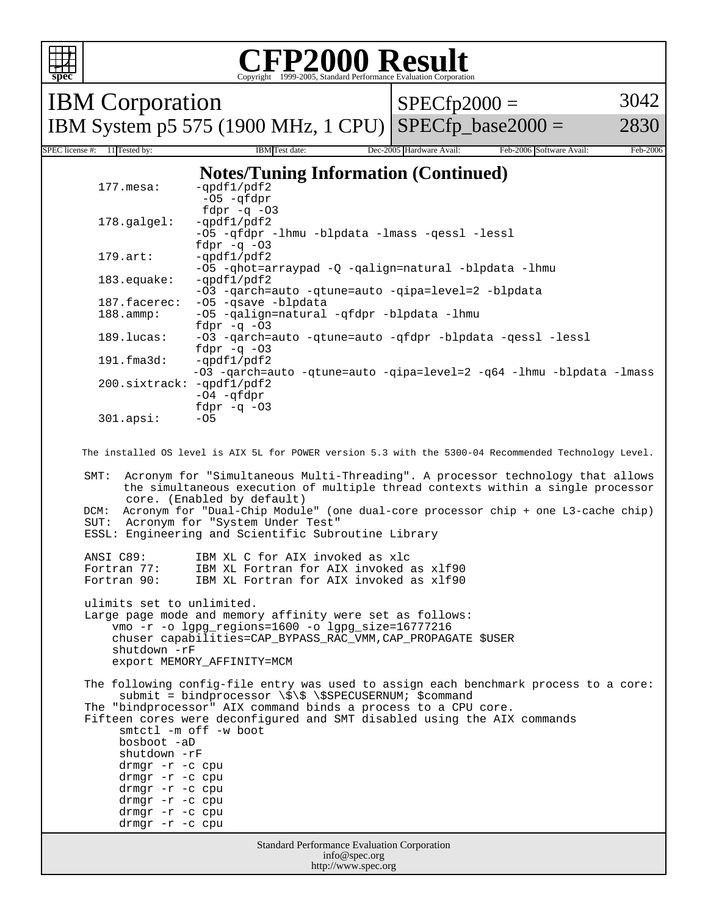

 -O5 -qhot=arraypad -Q -qalign=natural -blpdata -lhmu -O3 -qarch=auto -qtune=auto -qipa=level=2 -blpdata<br>187.facerec: -O5 -qsave -blpdata 188.ammp: -O5 -qalign=natural -qfdpr -blpdata -lhmu fdpr -q -03<br>=4arch= -03 -qarch= -O3 -qarch=auto -qtune=auto -qfdpr -blpdata -qessl -lessl fdpr -q -03<br>191.fma3d: -qpdf1/pdf2  $-qpdf1/pdf2$  -O3 -qarch=auto -qtune=auto -qipa=level=2 -q64 -lhmu -blpdata -lmass 200.sixtrack: -qpdf1/pdf2 -O4 -qfdpr fdpr -q -O3  $301.\text{apsi}:$ 

3042

2830

The installed OS level is AIX 5L for POWER version 5.3 with the 5300-04 Recommended Technology Level.

 SMT: Acronym for "Simultaneous Multi-Threading". A processor technology that allows the simultaneous execution of multiple thread contexts within a single processor core. (Enabled by default) DCM: Acronym for "Dual-Chip Module" (one dual-core processor chip + one L3-cache chip)

 SUT: Acronym for "System Under Test" ESSL: Engineering and Scientific Subroutine Library

drmgr -r -c cpu

 ANSI C89: IBM XL C for AIX invoked as xlc Fortran 77: IBM XL Fortran for AIX invoked as xlf90<br>Fortran 90: IBM XL Fortran for AIX invoked as xlf90 IBM XL Fortran for AIX invoked as xlf90

 ulimits set to unlimited. Large page mode and memory affinity were set as follows: vmo -r -o lgpg\_regions=1600 -o lgpg\_size=16777216 chuser capabilities=CAP\_BYPASS\_RAC\_VMM,CAP\_PROPAGATE \$USER shutdown -rF export MEMORY\_AFFINITY=MCM

 The following config-file entry was used to assign each benchmark process to a core: submit = bindprocessor \\$\\$ \\$SPECUSERNUM; \$command The "bindprocessor" AIX command binds a process to a CPU core. Fifteen cores were deconfigured and SMT disabled using the AIX commands smtctl -m off -w boot bosboot -aD shutdown -rF drmgr -r -c cpu drmgr -r -c cpu drmgr -r -c cpu drmgr -r -c cpu drmgr -r -c cpu

```
Standard Performance Evaluation Corporation
  info@spec.org
http://www.spec.org
```